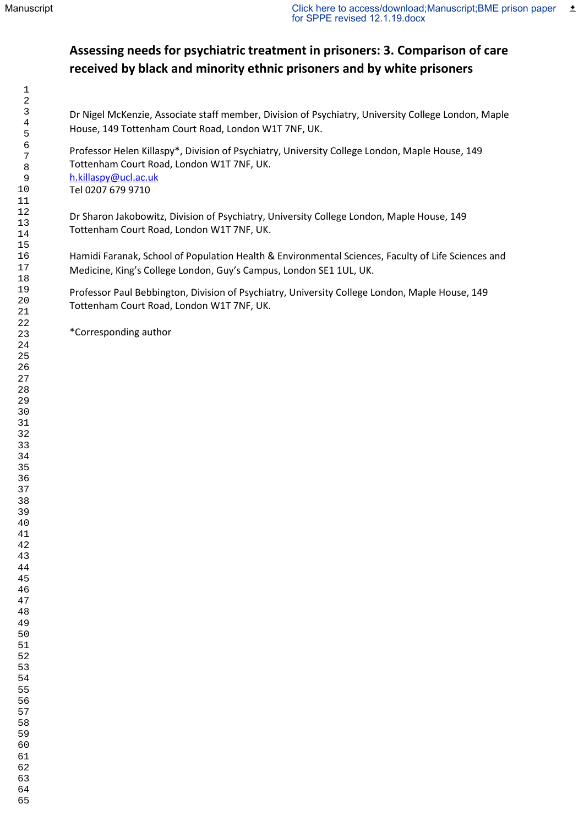# **Assessing needs for psychiatric treatment in prisoners: 3. Comparison of care received by black and minority ethnic prisoners and by white prisoners**

Dr Nigel McKenzie, Associate staff member, Division of Psychiatry, University College London, Maple House, 149 Tottenham Court Road, London W1T 7NF, UK.

Professor Helen Killaspy\*, Division of Psychiatry, University College London, Maple House, 149 Tottenham Court Road, London W1T 7NF, UK. [h.killaspy@ucl.ac.uk](mailto:h.killaspy@ucl.ac.uk) Tel 0207 679 9710

Dr Sharon Jakobowitz, Division of Psychiatry, University College London, Maple House, 149 Tottenham Court Road, London W1T 7NF, UK.

Hamidi Faranak, School of Population Health & Environmental Sciences, Faculty of Life Sciences and Medicine, King's College London, Guy's Campus, London SE1 1UL, UK.

Professor Paul Bebbington, Division of Psychiatry, University College London, Maple House, 149 Tottenham Court Road, London W1T 7NF, UK.

\*Corresponding author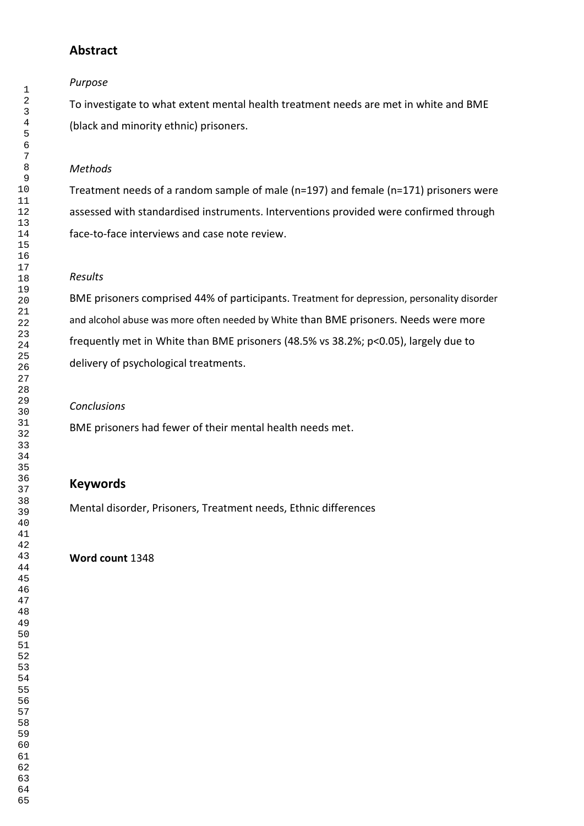## **Abstract**

#### *Purpose*

To investigate to what extent mental health treatment needs are met in white and BME (black and minority ethnic) prisoners.

## *Methods*

Treatment needs of a random sample of male (n=197) and female (n=171) prisoners were assessed with standardised instruments. Interventions provided were confirmed through face-to-face interviews and case note review.

## *Results*

BME prisoners comprised 44% of participants. Treatment for depression, personality disorder and alcohol abuse was more often needed by White than BME prisoners. Needs were more frequently met in White than BME prisoners (48.5% vs 38.2%; p<0.05), largely due to delivery of psychological treatments.

#### *Conclusions*

BME prisoners had fewer of their mental health needs met.

## **Keywords**

Mental disorder, Prisoners, Treatment needs, Ethnic differences

## **Word count** 1348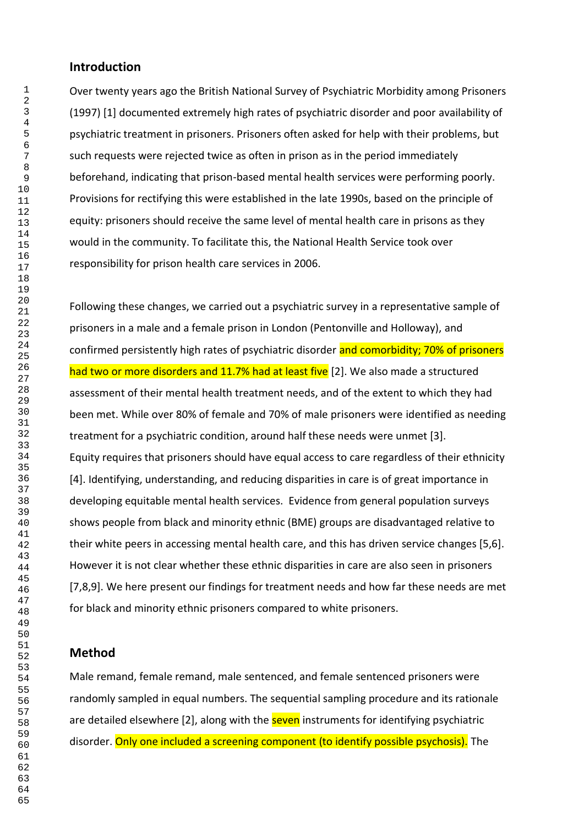#### **Introduction**

Over twenty years ago the British National Survey of Psychiatric Morbidity among Prisoners (1997) [1] documented extremely high rates of psychiatric disorder and poor availability of psychiatric treatment in prisoners. Prisoners often asked for help with their problems, but such requests were rejected twice as often in prison as in the period immediately beforehand, indicating that prison-based mental health services were performing poorly. Provisions for rectifying this were established in the late 1990s, based on the principle of equity: prisoners should receive the same level of mental health care in prisons as they would in the community. To facilitate this, the National Health Service took over responsibility for prison health care services in 2006.

Following these changes, we carried out a psychiatric survey in a representative sample of prisoners in a male and a female prison in London (Pentonville and Holloway), and confirmed persistently high rates of psychiatric disorder and comorbidity; 70% of prisoners had two or more disorders and 11.7% had at least five [2]. We also made a structured assessment of their mental health treatment needs, and of the extent to which they had been met. While over 80% of female and 70% of male prisoners were identified as needing treatment for a psychiatric condition, around half these needs were unmet [3]. Equity requires that prisoners should have equal access to care regardless of their ethnicity [4]. Identifying, understanding, and reducing disparities in care is of great importance in developing equitable mental health services. Evidence from general population surveys shows people from black and minority ethnic (BME) groups are disadvantaged relative to their white peers in accessing mental health care, and this has driven service changes [5,6]. However it is not clear whether these ethnic disparities in care are also seen in prisoners [7,8,9]. We here present our findings for treatment needs and how far these needs are met for black and minority ethnic prisoners compared to white prisoners.

#### **Method**

Male remand, female remand, male sentenced, and female sentenced prisoners were randomly sampled in equal numbers. The sequential sampling procedure and its rationale are detailed elsewhere [2], along with the **seven** instruments for identifying psychiatric disorder. Only one included a screening component (to identify possible psychosis). The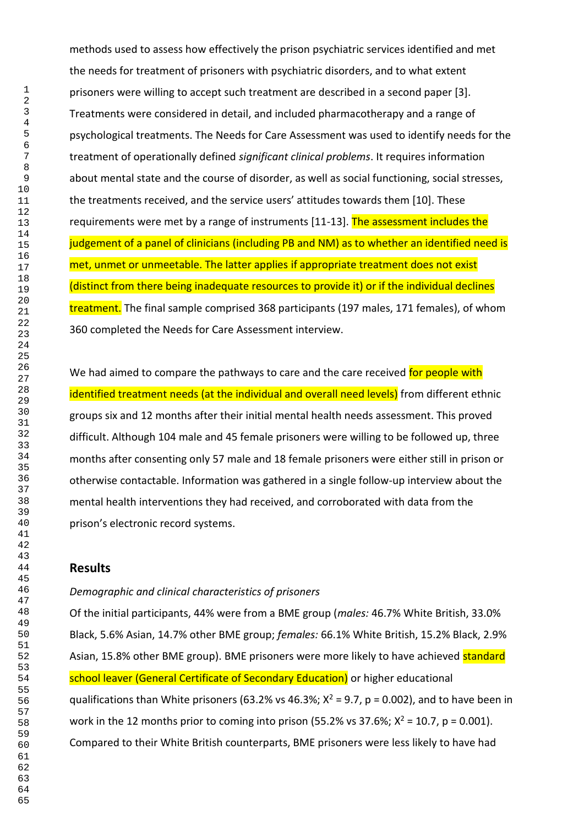methods used to assess how effectively the prison psychiatric services identified and met the needs for treatment of prisoners with psychiatric disorders, and to what extent prisoners were willing to accept such treatment are described in a second paper [3]. Treatments were considered in detail, and included pharmacotherapy and a range of psychological treatments. The Needs for Care Assessment was used to identify needs for the treatment of operationally defined *significant clinical problems*. It requires information about mental state and the course of disorder, as well as social functioning, social stresses, the treatments received, and the service users' attitudes towards them [10]. These requirements were met by a range of instruments [11-13]. The assessment includes the judgement of a panel of clinicians (including PB and NM) as to whether an identified need is met, unmet or unmeetable. The latter applies if appropriate treatment does not exist (distinct from there being inadequate resources to provide it) or if the individual declines treatment. The final sample comprised 368 participants (197 males, 171 females), of whom 360 completed the Needs for Care Assessment interview.

We had aimed to compare the pathways to care and the care received for people with identified treatment needs (at the individual and overall need levels) from different ethnic groups six and 12 months after their initial mental health needs assessment. This proved difficult. Although 104 male and 45 female prisoners were willing to be followed up, three months after consenting only 57 male and 18 female prisoners were either still in prison or otherwise contactable. Information was gathered in a single follow-up interview about the mental health interventions they had received, and corroborated with data from the prison's electronic record systems.

## **Results**

#### *Demographic and clinical characteristics of prisoners*

Of the initial participants, 44% were from a BME group (*males:* 46.7% White British, 33.0% Black, 5.6% Asian, 14.7% other BME group; *females:* 66.1% White British, 15.2% Black, 2.9% Asian, 15.8% other BME group). BME prisoners were more likely to have achieved standard school leaver (General Certificate of Secondary Education) or higher educational qualifications than White prisoners (63.2% vs 46.3%;  $X^2 = 9.7$ ,  $p = 0.002$ ), and to have been in work in the 12 months prior to coming into prison (55.2% vs 37.6%;  $X^2 = 10.7$ , p = 0.001). Compared to their White British counterparts, BME prisoners were less likely to have had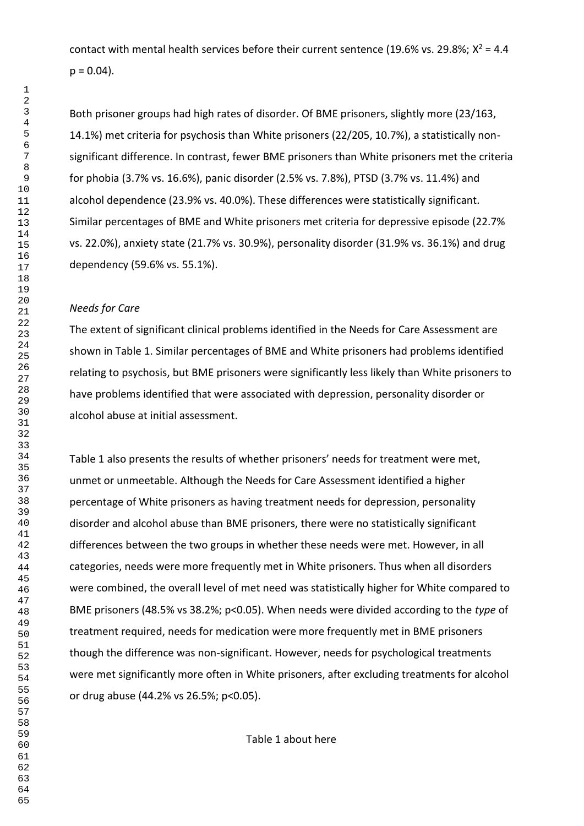contact with mental health services before their current sentence (19.6% vs. 29.8%;  $X^2 = 4.4$  $p = 0.04$ ).

Both prisoner groups had high rates of disorder. Of BME prisoners, slightly more (23/163, 14.1%) met criteria for psychosis than White prisoners (22/205, 10.7%), a statistically nonsignificant difference. In contrast, fewer BME prisoners than White prisoners met the criteria for phobia (3.7% vs. 16.6%), panic disorder (2.5% vs. 7.8%), PTSD (3.7% vs. 11.4%) and alcohol dependence (23.9% vs. 40.0%). These differences were statistically significant. Similar percentages of BME and White prisoners met criteria for depressive episode (22.7% vs. 22.0%), anxiety state (21.7% vs. 30.9%), personality disorder (31.9% vs. 36.1%) and drug dependency (59.6% vs. 55.1%).

#### *Needs for Care*

The extent of significant clinical problems identified in the Needs for Care Assessment are shown in Table 1. Similar percentages of BME and White prisoners had problems identified relating to psychosis, but BME prisoners were significantly less likely than White prisoners to have problems identified that were associated with depression, personality disorder or alcohol abuse at initial assessment.

Table 1 also presents the results of whether prisoners' needs for treatment were met, unmet or unmeetable. Although the Needs for Care Assessment identified a higher percentage of White prisoners as having treatment needs for depression, personality disorder and alcohol abuse than BME prisoners, there were no statistically significant differences between the two groups in whether these needs were met. However, in all categories, needs were more frequently met in White prisoners. Thus when all disorders were combined, the overall level of met need was statistically higher for White compared to BME prisoners (48.5% vs 38.2%; p<0.05). When needs were divided according to the *type* of treatment required, needs for medication were more frequently met in BME prisoners though the difference was non-significant. However, needs for psychological treatments were met significantly more often in White prisoners, after excluding treatments for alcohol or drug abuse (44.2% vs 26.5%; p<0.05).

Table 1 about here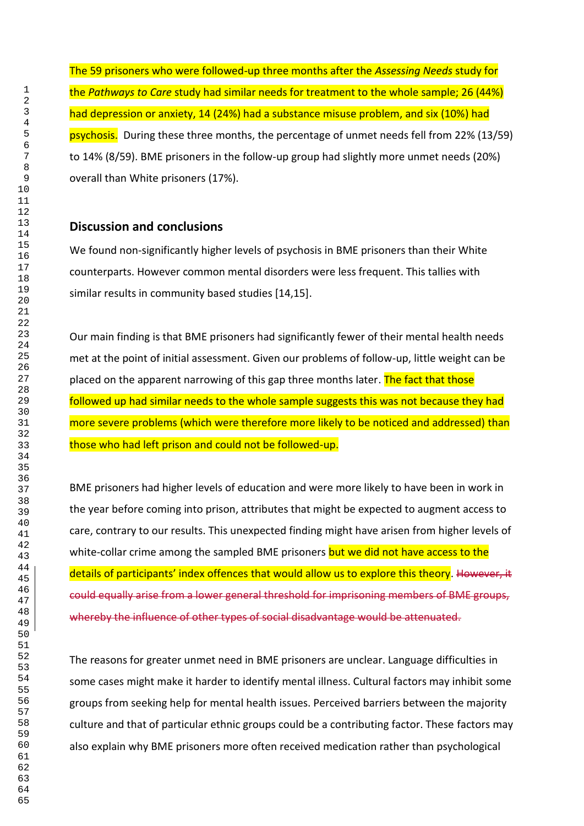The 59 prisoners who were followed-up three months after the *Assessing Needs* study for the *Pathways to Care* study had similar needs for treatment to the whole sample; 26 (44%) had depression or anxiety, 14 (24%) had a substance misuse problem, and six (10%) had psychosis. During these three months, the percentage of unmet needs fell from 22% (13/59) to 14% (8/59). BME prisoners in the follow-up group had slightly more unmet needs (20%) overall than White prisoners (17%).

## **Discussion and conclusions**

We found non-significantly higher levels of psychosis in BME prisoners than their White counterparts. However common mental disorders were less frequent. This tallies with similar results in community based studies [14,15].

Our main finding is that BME prisoners had significantly fewer of their mental health needs met at the point of initial assessment. Given our problems of follow-up, little weight can be placed on the apparent narrowing of this gap three months later. The fact that those followed up had similar needs to the whole sample suggests this was not because they had more severe problems (which were therefore more likely to be noticed and addressed) than those who had left prison and could not be followed-up.

BME prisoners had higher levels of education and were more likely to have been in work in the year before coming into prison, attributes that might be expected to augment access to care, contrary to our results. This unexpected finding might have arisen from higher levels of white-collar crime among the sampled BME prisoners but we did not have access to the details of participants' index offences that would allow us to explore this theory. However, it could equally arise from a lower general threshold for imprisoning members of BME groups, whereby the influence of other types of social disadvantage would be attenuated.

The reasons for greater unmet need in BME prisoners are unclear. Language difficulties in some cases might make it harder to identify mental illness. Cultural factors may inhibit some groups from seeking help for mental health issues. Perceived barriers between the majority culture and that of particular ethnic groups could be a contributing factor. These factors may also explain why BME prisoners more often received medication rather than psychological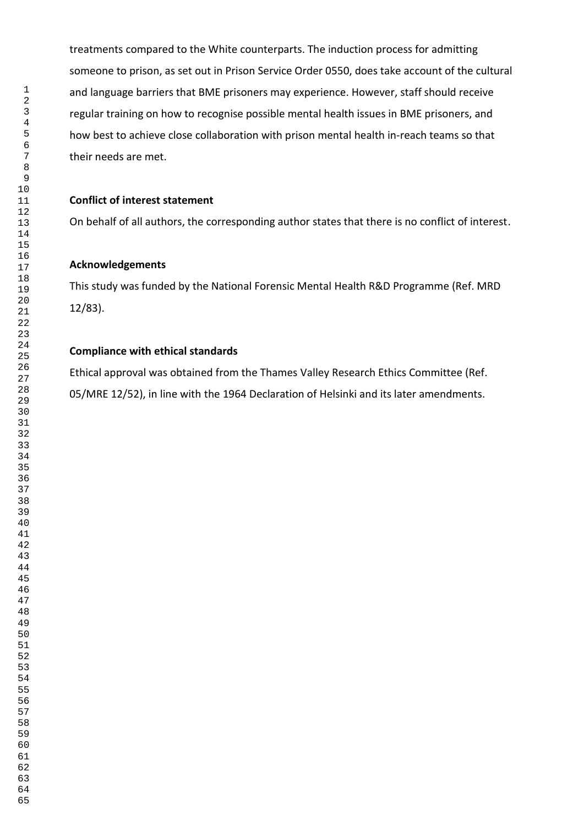treatments compared to the White counterparts. The induction process for admitting someone to prison, as set out in Prison Service Order 0550, does take account of the cultural and language barriers that BME prisoners may experience. However, staff should receive regular training on how to recognise possible mental health issues in BME prisoners, and how best to achieve close collaboration with prison mental health in-reach teams so that their needs are met.

#### **Conflict of interest statement**

On behalf of all authors, the corresponding author states that there is no conflict of interest.

## **Acknowledgements**

This study was funded by the National Forensic Mental Health R&D Programme (Ref. MRD 12/83).

#### **Compliance with ethical standards**

Ethical approval was obtained from the Thames Valley Research Ethics Committee (Ref. 05/MRE 12/52), in line with the 1964 Declaration of Helsinki and its later amendments.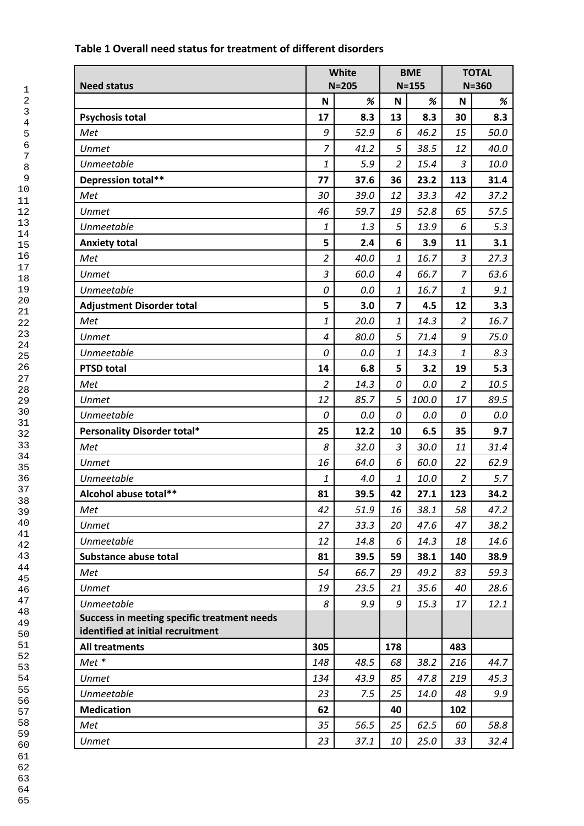| <b>Need status</b>                                                               | White<br>$N = 205$ |      | <b>BME</b><br>$N = 155$ |       | <b>TOTAL</b><br>$N = 360$ |      |
|----------------------------------------------------------------------------------|--------------------|------|-------------------------|-------|---------------------------|------|
|                                                                                  | N                  | $\%$ | N                       | %     | $\mathsf N$               | %    |
| <b>Psychosis total</b>                                                           | 17                 | 8.3  | 13                      | 8.3   | 30                        | 8.3  |
| Met                                                                              | 9                  | 52.9 | 6                       | 46.2  | 15                        | 50.0 |
| <b>Unmet</b>                                                                     | $\overline{7}$     | 41.2 | 5                       | 38.5  | 12                        | 40.0 |
| <b>Unmeetable</b>                                                                | $\mathbf{1}$       | 5.9  | $\overline{2}$          | 15.4  | $\overline{3}$            | 10.0 |
| Depression total**                                                               | 77                 | 37.6 | 36                      | 23.2  | 113                       | 31.4 |
| Met                                                                              | 30                 | 39.0 | 12                      | 33.3  | 42                        | 37.2 |
| <b>Unmet</b>                                                                     | 46                 | 59.7 | 19                      | 52.8  | 65                        | 57.5 |
| Unmeetable                                                                       | $\mathbf{1}$       | 1.3  | 5                       | 13.9  | 6                         | 5.3  |
| <b>Anxiety total</b>                                                             | 5                  | 2.4  | 6                       | 3.9   | 11                        | 3.1  |
| Met                                                                              | $\overline{2}$     | 40.0 | $\mathbf{1}$            | 16.7  | $\mathfrak{Z}$            | 27.3 |
| <b>Unmet</b>                                                                     | $\mathfrak{Z}$     | 60.0 | $\boldsymbol{4}$        | 66.7  | $\overline{7}$            | 63.6 |
| Unmeetable                                                                       | 0                  | 0.0  | $\mathbf{1}$            | 16.7  | $\it 1$                   | 9.1  |
| <b>Adjustment Disorder total</b>                                                 | 5                  | 3.0  | $\overline{\mathbf{z}}$ | 4.5   | 12                        | 3.3  |
| Met                                                                              | $\mathbf{1}% _{T}$ | 20.0 | $\mathbf{1}$            | 14.3  | $\overline{2}$            | 16.7 |
| <b>Unmet</b>                                                                     | $\overline{4}$     | 80.0 | 5                       | 71.4  | 9                         | 75.0 |
| <b>Unmeetable</b>                                                                | 0                  | 0.0  | $\mathbf{1}$            | 14.3  | $\it 1$                   | 8.3  |
| <b>PTSD total</b>                                                                | 14                 | 6.8  | 5                       | 3.2   | 19                        | 5.3  |
| Met                                                                              | $\overline{2}$     | 14.3 | 0                       | 0.0   | $\overline{2}$            | 10.5 |
| <b>Unmet</b>                                                                     | 12                 | 85.7 | 5                       | 100.0 | 17                        | 89.5 |
| Unmeetable                                                                       | 0                  | 0.0  | 0                       | 0.0   | 0                         | 0.0  |
| Personality Disorder total*                                                      | 25                 | 12.2 | 10                      | 6.5   | 35                        | 9.7  |
| Met                                                                              | 8                  | 32.0 | 3                       | 30.0  | 11                        | 31.4 |
| Unmet                                                                            | 16                 | 64.0 | 6                       | 60.0  | 22                        | 62.9 |
| Unmeetable                                                                       | $\mathbf{1}% _{T}$ | 4.0  | $\mathbf{1}$            | 10.0  | $\overline{2}$            | 5.7  |
| Alcohol abuse total**                                                            | 81                 | 39.5 | 42                      | 27.1  | 123                       | 34.2 |
| Met                                                                              | 42                 | 51.9 | 16                      | 38.1  | 58                        | 47.2 |
| <b>Unmet</b>                                                                     | 27                 | 33.3 | 20                      | 47.6  | 47                        | 38.2 |
| <b>Unmeetable</b>                                                                | 12                 | 14.8 | 6                       | 14.3  | 18                        | 14.6 |
| Substance abuse total                                                            | 81                 | 39.5 | 59                      | 38.1  | 140                       | 38.9 |
| Met                                                                              | 54                 | 66.7 | 29                      | 49.2  | 83                        | 59.3 |
| <b>Unmet</b>                                                                     | 19                 | 23.5 | 21                      | 35.6  | 40                        | 28.6 |
| <b>Unmeetable</b>                                                                | 8                  | 9.9  | 9                       | 15.3  | 17                        | 12.1 |
| Success in meeting specific treatment needs<br>identified at initial recruitment |                    |      |                         |       |                           |      |
| <b>All treatments</b>                                                            | 305                |      | 178                     |       | 483                       |      |
| Met *                                                                            | 148                | 48.5 | 68                      | 38.2  | 216                       | 44.7 |
| <b>Unmet</b>                                                                     | 134                | 43.9 | 85                      | 47.8  | 219                       | 45.3 |
| Unmeetable                                                                       | 23                 | 7.5  | 25                      | 14.0  | 48                        | 9.9  |
| <b>Medication</b>                                                                | 62                 |      | 40                      |       | 102                       |      |
| Met                                                                              | 35                 | 56.5 | 25                      | 62.5  | 60                        | 58.8 |
| <b>Unmet</b>                                                                     | 23                 | 37.1 | 10                      | 25.0  | 33                        | 32.4 |

## **Table 1 Overall need status for treatment of different disorders**

65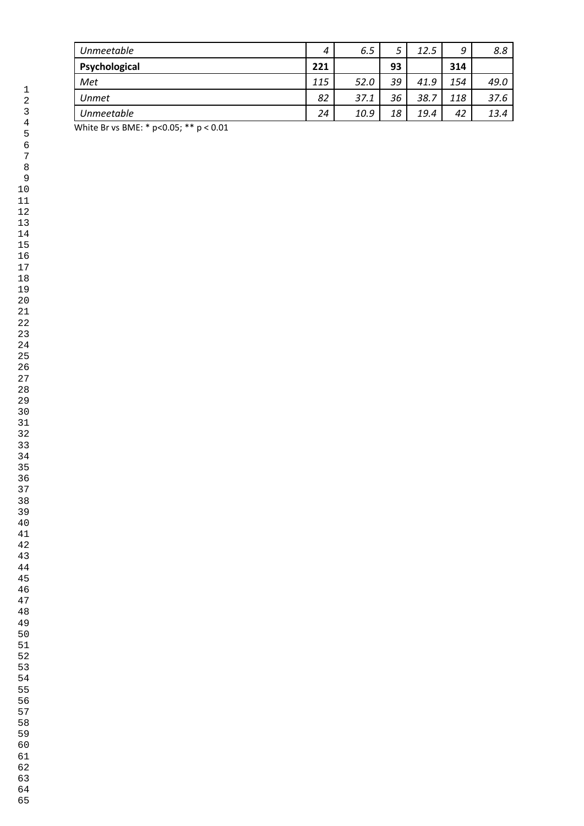| 4   | 6.5  | ت  | 12.5 | 9   | 8.8  |
|-----|------|----|------|-----|------|
| 221 |      | 93 |      | 314 |      |
| 115 | 52.0 | 39 | 41.9 | 154 | 49.0 |
| 82  | 37.1 | 36 | 38.7 | 118 | 37.6 |
| 24  | 10.9 | 18 | 19.4 | 42  | 13.4 |
|     |      |    |      |     |      |

White Br vs BME: \* p<0.05; \*\* p < 0.01